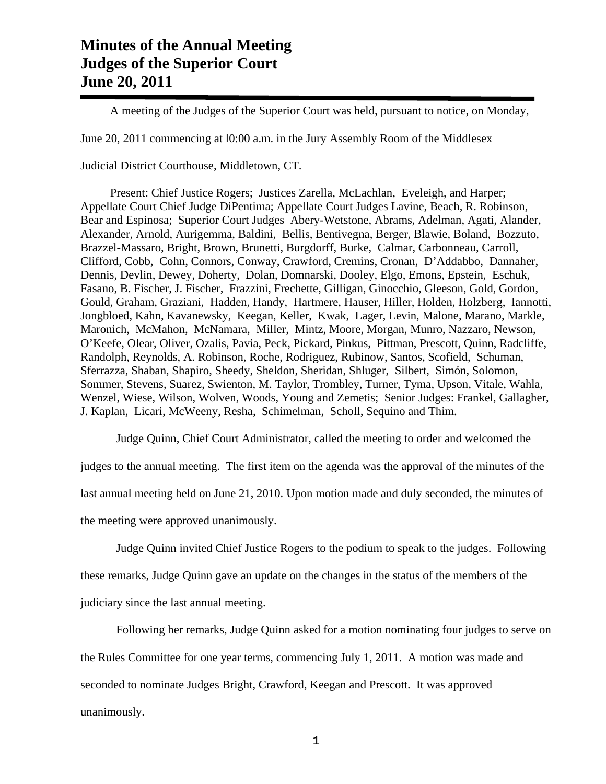## **Minutes of the Annual Meeting Judges of the Superior Court June 20, 2011**

A meeting of the Judges of the Superior Court was held, pursuant to notice, on Monday,

June 20, 2011 commencing at l0:00 a.m. in the Jury Assembly Room of the Middlesex

Judicial District Courthouse, Middletown, CT.

 Present: Chief Justice Rogers; Justices Zarella, McLachlan, Eveleigh, and Harper; Appellate Court Chief Judge DiPentima; Appellate Court Judges Lavine, Beach, R. Robinson, Bear and Espinosa; Superior Court Judges Abery-Wetstone, Abrams, Adelman, Agati, Alander, Alexander, Arnold, Aurigemma, Baldini, Bellis, Bentivegna, Berger, Blawie, Boland, Bozzuto, Brazzel-Massaro, Bright, Brown, Brunetti, Burgdorff, Burke, Calmar, Carbonneau, Carroll, Clifford, Cobb, Cohn, Connors, Conway, Crawford, Cremins, Cronan, D'Addabbo, Dannaher, Dennis, Devlin, Dewey, Doherty, Dolan, Domnarski, Dooley, Elgo, Emons, Epstein, Eschuk, Fasano, B. Fischer, J. Fischer, Frazzini, Frechette, Gilligan, Ginocchio, Gleeson, Gold, Gordon, Gould, Graham, Graziani, Hadden, Handy, Hartmere, Hauser, Hiller, Holden, Holzberg, Iannotti, Jongbloed, Kahn, Kavanewsky, Keegan, Keller, Kwak, Lager, Levin, Malone, Marano, Markle, Maronich, McMahon, McNamara, Miller, Mintz, Moore, Morgan, Munro, Nazzaro, Newson, O'Keefe, Olear, Oliver, Ozalis, Pavia, Peck, Pickard, Pinkus, Pittman, Prescott, Quinn, Radcliffe, Randolph, Reynolds, A. Robinson, Roche, Rodriguez, Rubinow, Santos, Scofield, Schuman, Sferrazza, Shaban, Shapiro, Sheedy, Sheldon, Sheridan, Shluger, Silbert, Simón, Solomon, Sommer, Stevens, Suarez, Swienton, M. Taylor, Trombley, Turner, Tyma, Upson, Vitale, Wahla, Wenzel, Wiese, Wilson, Wolven, Woods, Young and Zemetis; Senior Judges: Frankel, Gallagher, J. Kaplan, Licari, McWeeny, Resha, Schimelman, Scholl, Sequino and Thim.

Judge Quinn, Chief Court Administrator, called the meeting to order and welcomed the

judges to the annual meeting. The first item on the agenda was the approval of the minutes of the last annual meeting held on June 21, 2010. Upon motion made and duly seconded, the minutes of the meeting were approved unanimously.

Judge Quinn invited Chief Justice Rogers to the podium to speak to the judges. Following

these remarks, Judge Quinn gave an update on the changes in the status of the members of the

judiciary since the last annual meeting.

Following her remarks, Judge Quinn asked for a motion nominating four judges to serve on

the Rules Committee for one year terms, commencing July 1, 2011. A motion was made and

seconded to nominate Judges Bright, Crawford, Keegan and Prescott. It was approved

unanimously.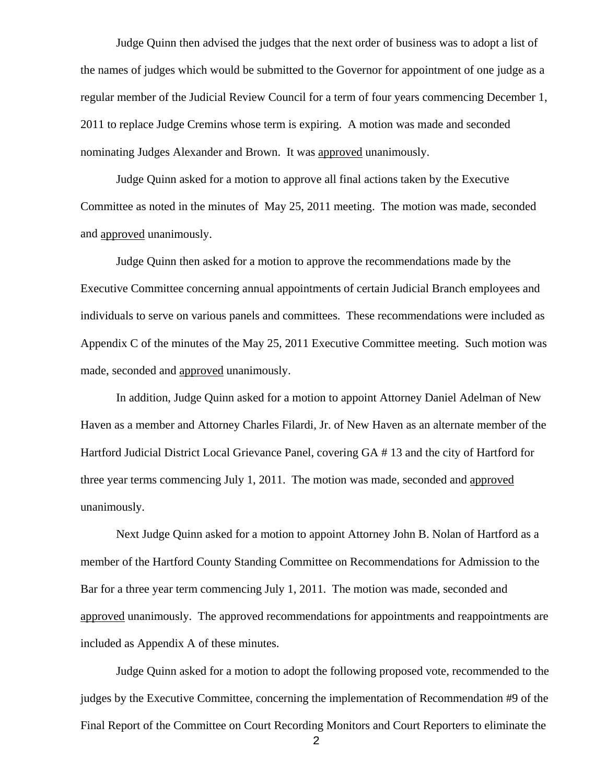Judge Quinn then advised the judges that the next order of business was to adopt a list of the names of judges which would be submitted to the Governor for appointment of one judge as a regular member of the Judicial Review Council for a term of four years commencing December 1, 2011 to replace Judge Cremins whose term is expiring. A motion was made and seconded nominating Judges Alexander and Brown. It was approved unanimously.

 Judge Quinn asked for a motion to approve all final actions taken by the Executive Committee as noted in the minutes of May 25, 2011 meeting. The motion was made, seconded and approved unanimously.

 Judge Quinn then asked for a motion to approve the recommendations made by the Executive Committee concerning annual appointments of certain Judicial Branch employees and individuals to serve on various panels and committees. These recommendations were included as Appendix C of the minutes of the May 25, 2011 Executive Committee meeting. Such motion was made, seconded and approved unanimously.

 In addition, Judge Quinn asked for a motion to appoint Attorney Daniel Adelman of New Haven as a member and Attorney Charles Filardi, Jr. of New Haven as an alternate member of the Hartford Judicial District Local Grievance Panel, covering GA # 13 and the city of Hartford for three year terms commencing July 1, 2011. The motion was made, seconded and approved unanimously.

 Next Judge Quinn asked for a motion to appoint Attorney John B. Nolan of Hartford as a member of the Hartford County Standing Committee on Recommendations for Admission to the Bar for a three year term commencing July 1, 2011. The motion was made, seconded and approved unanimously. The approved recommendations for appointments and reappointments are included as Appendix A of these minutes.

 Judge Quinn asked for a motion to adopt the following proposed vote, recommended to the judges by the Executive Committee, concerning the implementation of Recommendation #9 of the Final Report of the Committee on Court Recording Monitors and Court Reporters to eliminate the

2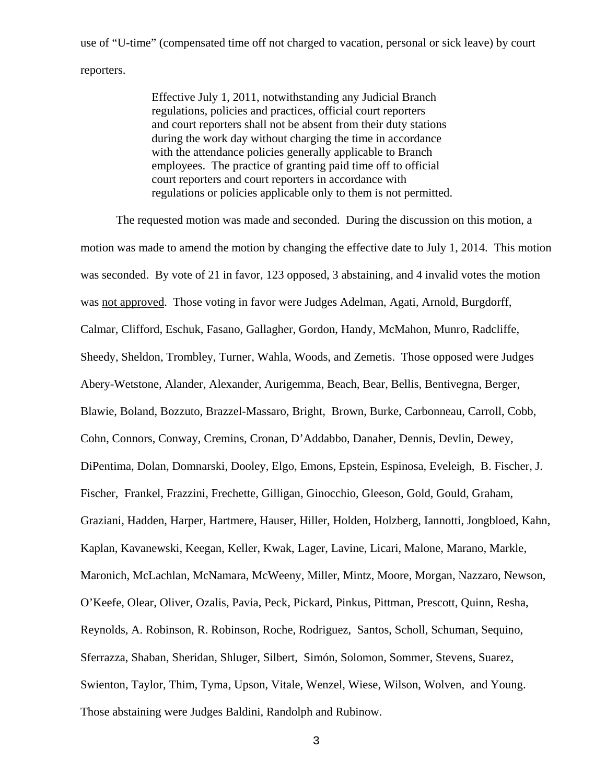use of "U-time" (compensated time off not charged to vacation, personal or sick leave) by court reporters.

> Effective July 1, 2011, notwithstanding any Judicial Branch regulations, policies and practices, official court reporters and court reporters shall not be absent from their duty stations during the work day without charging the time in accordance with the attendance policies generally applicable to Branch employees. The practice of granting paid time off to official court reporters and court reporters in accordance with regulations or policies applicable only to them is not permitted.

 The requested motion was made and seconded. During the discussion on this motion, a motion was made to amend the motion by changing the effective date to July 1, 2014. This motion was seconded. By vote of 21 in favor, 123 opposed, 3 abstaining, and 4 invalid votes the motion was not approved. Those voting in favor were Judges Adelman, Agati, Arnold, Burgdorff, Calmar, Clifford, Eschuk, Fasano, Gallagher, Gordon, Handy, McMahon, Munro, Radcliffe, Sheedy, Sheldon, Trombley, Turner, Wahla, Woods, and Zemetis. Those opposed were Judges Abery-Wetstone, Alander, Alexander, Aurigemma, Beach, Bear, Bellis, Bentivegna, Berger, Blawie, Boland, Bozzuto, Brazzel-Massaro, Bright, Brown, Burke, Carbonneau, Carroll, Cobb, Cohn, Connors, Conway, Cremins, Cronan, D'Addabbo, Danaher, Dennis, Devlin, Dewey, DiPentima, Dolan, Domnarski, Dooley, Elgo, Emons, Epstein, Espinosa, Eveleigh, B. Fischer, J. Fischer, Frankel, Frazzini, Frechette, Gilligan, Ginocchio, Gleeson, Gold, Gould, Graham, Graziani, Hadden, Harper, Hartmere, Hauser, Hiller, Holden, Holzberg, Iannotti, Jongbloed, Kahn, Kaplan, Kavanewski, Keegan, Keller, Kwak, Lager, Lavine, Licari, Malone, Marano, Markle, Maronich, McLachlan, McNamara, McWeeny, Miller, Mintz, Moore, Morgan, Nazzaro, Newson, O'Keefe, Olear, Oliver, Ozalis, Pavia, Peck, Pickard, Pinkus, Pittman, Prescott, Quinn, Resha, Reynolds, A. Robinson, R. Robinson, Roche, Rodriguez, Santos, Scholl, Schuman, Sequino, Sferrazza, Shaban, Sheridan, Shluger, Silbert, Simón, Solomon, Sommer, Stevens, Suarez, Swienton, Taylor, Thim, Tyma, Upson, Vitale, Wenzel, Wiese, Wilson, Wolven, and Young. Those abstaining were Judges Baldini, Randolph and Rubinow.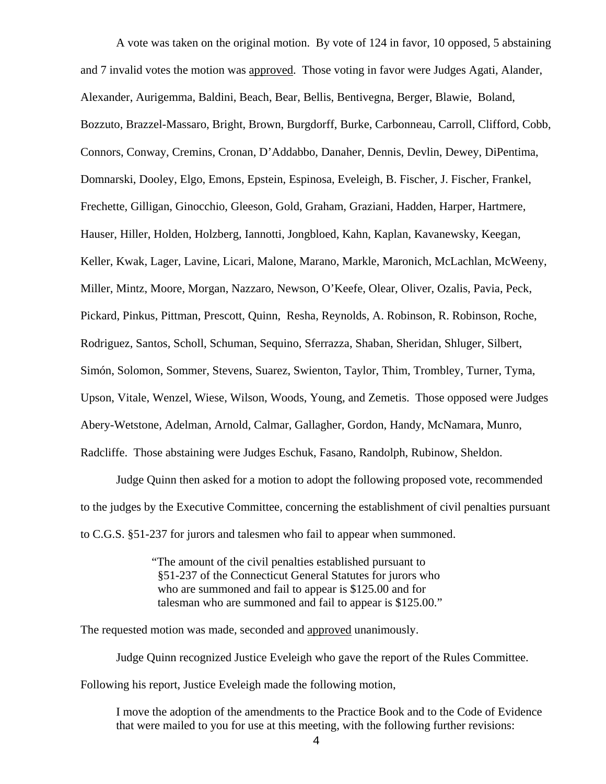A vote was taken on the original motion. By vote of 124 in favor, 10 opposed, 5 abstaining and 7 invalid votes the motion was approved. Those voting in favor were Judges Agati, Alander, Alexander, Aurigemma, Baldini, Beach, Bear, Bellis, Bentivegna, Berger, Blawie, Boland, Bozzuto, Brazzel-Massaro, Bright, Brown, Burgdorff, Burke, Carbonneau, Carroll, Clifford, Cobb, Connors, Conway, Cremins, Cronan, D'Addabbo, Danaher, Dennis, Devlin, Dewey, DiPentima, Domnarski, Dooley, Elgo, Emons, Epstein, Espinosa, Eveleigh, B. Fischer, J. Fischer, Frankel, Frechette, Gilligan, Ginocchio, Gleeson, Gold, Graham, Graziani, Hadden, Harper, Hartmere, Hauser, Hiller, Holden, Holzberg, Iannotti, Jongbloed, Kahn, Kaplan, Kavanewsky, Keegan, Keller, Kwak, Lager, Lavine, Licari, Malone, Marano, Markle, Maronich, McLachlan, McWeeny, Miller, Mintz, Moore, Morgan, Nazzaro, Newson, O'Keefe, Olear, Oliver, Ozalis, Pavia, Peck, Pickard, Pinkus, Pittman, Prescott, Quinn, Resha, Reynolds, A. Robinson, R. Robinson, Roche, Rodriguez, Santos, Scholl, Schuman, Sequino, Sferrazza, Shaban, Sheridan, Shluger, Silbert, Simón, Solomon, Sommer, Stevens, Suarez, Swienton, Taylor, Thim, Trombley, Turner, Tyma, Upson, Vitale, Wenzel, Wiese, Wilson, Woods, Young, and Zemetis. Those opposed were Judges Abery-Wetstone, Adelman, Arnold, Calmar, Gallagher, Gordon, Handy, McNamara, Munro, Radcliffe. Those abstaining were Judges Eschuk, Fasano, Randolph, Rubinow, Sheldon.

 Judge Quinn then asked for a motion to adopt the following proposed vote, recommended to the judges by the Executive Committee, concerning the establishment of civil penalties pursuant to C.G.S. §51-237 for jurors and talesmen who fail to appear when summoned.

> "The amount of the civil penalties established pursuant to §51-237 of the Connecticut General Statutes for jurors who who are summoned and fail to appear is \$125.00 and for talesman who are summoned and fail to appear is \$125.00."

The requested motion was made, seconded and approved unanimously.

Judge Quinn recognized Justice Eveleigh who gave the report of the Rules Committee. Following his report, Justice Eveleigh made the following motion,

I move the adoption of the amendments to the Practice Book and to the Code of Evidence that were mailed to you for use at this meeting, with the following further revisions: